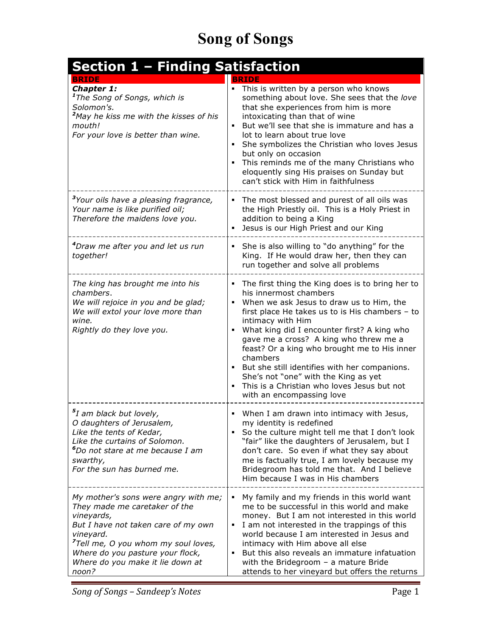| <b>Section 1 - Finding Satisfaction</b>                                                                                                                                                                                                                                     |                                                                                                                                                                                                                                                                                                                                                                                                                                                                                                                                      |
|-----------------------------------------------------------------------------------------------------------------------------------------------------------------------------------------------------------------------------------------------------------------------------|--------------------------------------------------------------------------------------------------------------------------------------------------------------------------------------------------------------------------------------------------------------------------------------------------------------------------------------------------------------------------------------------------------------------------------------------------------------------------------------------------------------------------------------|
| <b>BRIDE</b><br>Chapter 1:<br><sup>1</sup> The Song of Songs, which is<br>Solomon's.<br><sup>2</sup> May he kiss me with the kisses of his<br>mouth!<br>For your love is better than wine.                                                                                  | <b>BRIDE</b><br>• This is written by a person who knows<br>something about love. She sees that the love<br>that she experiences from him is more<br>intoxicating than that of wine<br>But we'll see that she is immature and has a<br>lot to learn about true love<br>She symbolizes the Christian who loves Jesus<br>but only on occasion<br>This reminds me of the many Christians who<br>٠<br>eloquently sing His praises on Sunday but<br>can't stick with Him in faithfulness                                                   |
| <sup>3</sup> Your oils have a pleasing fragrance,<br>Your name is like purified oil;<br>Therefore the maidens love you.                                                                                                                                                     | The most blessed and purest of all oils was<br>the High Priestly oil. This is a Holy Priest in<br>addition to being a King<br>Jesus is our High Priest and our King                                                                                                                                                                                                                                                                                                                                                                  |
| <sup>4</sup> Draw me after you and let us run<br>together!                                                                                                                                                                                                                  | She is also willing to "do anything" for the<br>King. If He would draw her, then they can<br>run together and solve all problems                                                                                                                                                                                                                                                                                                                                                                                                     |
| The king has brought me into his<br>chambers.<br>We will rejoice in you and be glad;<br>We will extol your love more than<br>wine.<br>Rightly do they love you.                                                                                                             | • The first thing the King does is to bring her to<br>his innermost chambers<br>When we ask Jesus to draw us to Him, the<br>٠<br>first place He takes us to is His chambers - to<br>intimacy with Him<br>What king did I encounter first? A king who<br>٠<br>gave me a cross? A king who threw me a<br>feast? Or a king who brought me to His inner<br>chambers<br>But she still identifies with her companions.<br>She's not "one" with the King as yet<br>This is a Christian who loves Jesus but not<br>with an encompassing love |
| <sup>5</sup> I am black but lovely,<br>O daughters of Jerusalem,<br>Like the tents of Kedar,<br>Like the curtains of Solomon.<br>$^{\rm 6}$ Do not stare at me because I am<br>swarthy,<br>For the sun has burned me.                                                       | • When I am drawn into intimacy with Jesus,<br>my identity is redefined<br>So the culture might tell me that I don't look<br>٠<br>"fair" like the daughters of Jerusalem, but I<br>don't care. So even if what they say about<br>me is factually true, I am lovely because my<br>Bridegroom has told me that. And I believe<br>Him because I was in His chambers                                                                                                                                                                     |
| My mother's sons were angry with me;<br>They made me caretaker of the<br>vineyards,<br>But I have not taken care of my own<br>vineyard.<br><sup>7</sup> Tell me, O you whom my soul loves,<br>Where do you pasture your flock,<br>Where do you make it lie down at<br>noon? | My family and my friends in this world want<br>٠<br>me to be successful in this world and make<br>money. But I am not interested in this world<br>I am not interested in the trappings of this<br>٠<br>world because I am interested in Jesus and<br>intimacy with Him above all else<br>But this also reveals an immature infatuation<br>$\blacksquare$<br>with the Bridegroom $-$ a mature Bride<br>attends to her vineyard but offers the returns                                                                                 |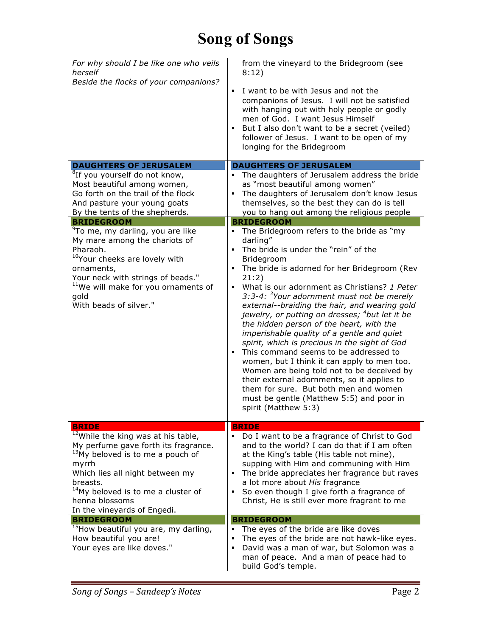| For why should I be like one who veils<br>herself<br>Beside the flocks of your companions?                                                                                                                                                                                                        | from the vineyard to the Bridegroom (see<br>8:12)<br>I want to be with Jesus and not the<br>٠<br>companions of Jesus. I will not be satisfied<br>with hanging out with holy people or godly<br>men of God. I want Jesus Himself<br>But I also don't want to be a secret (veiled)<br>٠<br>follower of Jesus. I want to be open of my<br>longing for the Bridegroom                                                                                                                                                                                                                                                                                                                                                                                                                                                                                        |
|---------------------------------------------------------------------------------------------------------------------------------------------------------------------------------------------------------------------------------------------------------------------------------------------------|----------------------------------------------------------------------------------------------------------------------------------------------------------------------------------------------------------------------------------------------------------------------------------------------------------------------------------------------------------------------------------------------------------------------------------------------------------------------------------------------------------------------------------------------------------------------------------------------------------------------------------------------------------------------------------------------------------------------------------------------------------------------------------------------------------------------------------------------------------|
| <b>DAUGHTERS OF JERUSALEM</b>                                                                                                                                                                                                                                                                     | <b>DAUGHTERS OF JERUSALEM</b>                                                                                                                                                                                                                                                                                                                                                                                                                                                                                                                                                                                                                                                                                                                                                                                                                            |
| <sup>8</sup> If you yourself do not know,<br>Most beautiful among women,<br>Go forth on the trail of the flock<br>And pasture your young goats<br>By the tents of the shepherds.                                                                                                                  | The daughters of Jerusalem address the bride<br>٠<br>as "most beautiful among women"<br>The daughters of Jerusalem don't know Jesus<br>٠<br>themselves, so the best they can do is tell<br>you to hang out among the religious people                                                                                                                                                                                                                                                                                                                                                                                                                                                                                                                                                                                                                    |
| <b>BRIDEGROOM</b>                                                                                                                                                                                                                                                                                 | <b>BRIDEGROOM</b>                                                                                                                                                                                                                                                                                                                                                                                                                                                                                                                                                                                                                                                                                                                                                                                                                                        |
| <sup>9</sup> To me, my darling, you are like<br>My mare among the chariots of<br>Pharaoh.<br><sup>10</sup> Your cheeks are lovely with<br>ornaments,<br>Your neck with strings of beads."<br><sup>11</sup> We will make for you ornaments of<br>gold<br>With beads of silver."                    | The Bridegroom refers to the bride as "my<br>darling"<br>The bride is under the "rein" of the<br>٠<br>Bridegroom<br>The bride is adorned for her Bridegroom (Rev<br>٠<br>21:2)<br>What is our adornment as Christians? 1 Peter<br>٠<br>3:3-4: <sup>3</sup> Your adornment must not be merely<br>external--braiding the hair, and wearing gold<br>jewelry, or putting on dresses; <sup>4</sup> but let it be<br>the hidden person of the heart, with the<br>imperishable quality of a gentle and quiet<br>spirit, which is precious in the sight of God<br>This command seems to be addressed to<br>women, but I think it can apply to men too.<br>Women are being told not to be deceived by<br>their external adornments, so it applies to<br>them for sure. But both men and women<br>must be gentle (Matthew 5:5) and poor in<br>spirit (Matthew 5:3) |
| <b>BRIDE</b>                                                                                                                                                                                                                                                                                      | <b>BRIDE</b>                                                                                                                                                                                                                                                                                                                                                                                                                                                                                                                                                                                                                                                                                                                                                                                                                                             |
| <sup>12</sup> While the king was at his table,<br>My perfume gave forth its fragrance.<br><sup>13</sup> My beloved is to me a pouch of<br>myrrh<br>Which lies all night between my<br>breasts.<br><sup>14</sup> My beloved is to me a cluster of<br>henna blossoms<br>In the vineyards of Engedi. | Do I want to be a fragrance of Christ to God<br>and to the world? I can do that if I am often<br>at the King's table (His table not mine),<br>supping with Him and communing with Him<br>The bride appreciates her fragrance but raves<br>٠<br>a lot more about His fragrance<br>So even though I give forth a fragrance of<br>٠<br>Christ, He is still ever more fragrant to me                                                                                                                                                                                                                                                                                                                                                                                                                                                                         |
| <b>BRIDEGROOM</b>                                                                                                                                                                                                                                                                                 | <b>BRIDEGROOM</b>                                                                                                                                                                                                                                                                                                                                                                                                                                                                                                                                                                                                                                                                                                                                                                                                                                        |
| <sup>15</sup> How beautiful you are, my darling,<br>How beautiful you are!<br>Your eyes are like doves."                                                                                                                                                                                          | The eyes of the bride are like doves<br>٠<br>The eyes of the bride are not hawk-like eyes.<br>٠<br>David was a man of war, but Solomon was a<br>٠<br>man of peace. And a man of peace had to<br>build God's temple.                                                                                                                                                                                                                                                                                                                                                                                                                                                                                                                                                                                                                                      |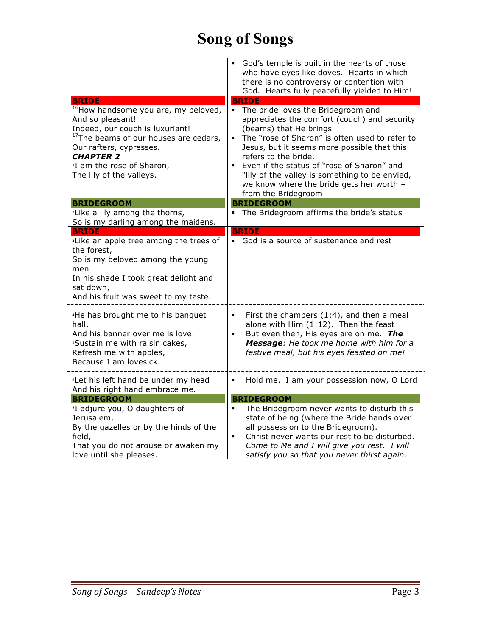|                                                                                                                                     | God's temple is built in the hearts of those<br>who have eyes like doves. Hearts in which<br>there is no controversy or contention with<br>God. Hearts fully peacefully yielded to Him! |
|-------------------------------------------------------------------------------------------------------------------------------------|-----------------------------------------------------------------------------------------------------------------------------------------------------------------------------------------|
| <b>BRIDE</b><br><sup>16</sup> How handsome you are, my beloved,<br>And so pleasant!                                                 | <b>BRIDE</b><br>The bride loves the Bridegroom and<br>$\mathbf{u}$<br>appreciates the comfort (couch) and security                                                                      |
| Indeed, our couch is luxuriant!<br><sup>17</sup> The beams of our houses are cedars,<br>Our rafters, cypresses.<br><b>CHAPTER 2</b> | (beams) that He brings<br>The "rose of Sharon" is often used to refer to<br>Jesus, but it seems more possible that this<br>refers to the bride.                                         |
| <sup>1</sup> I am the rose of Sharon,<br>The lily of the valleys.                                                                   | Even if the status of "rose of Sharon" and<br>"lily of the valley is something to be envied,<br>we know where the bride gets her worth -<br>from the Bridegroom                         |
| <b>BRIDEGROOM</b>                                                                                                                   | <b>BRIDEGROOM</b>                                                                                                                                                                       |
| <sup>2</sup> Like a lily among the thorns,<br>So is my darling among the maidens.                                                   | The Bridegroom affirms the bride's status                                                                                                                                               |
| <b>BRIDE</b>                                                                                                                        | <b>BRIDE</b>                                                                                                                                                                            |
| <sup>3</sup> Like an apple tree among the trees of<br>the forest,<br>So is my beloved among the young                               | God is a source of sustenance and rest                                                                                                                                                  |
| men                                                                                                                                 |                                                                                                                                                                                         |
| In his shade I took great delight and                                                                                               |                                                                                                                                                                                         |
| sat down,                                                                                                                           |                                                                                                                                                                                         |
| And his fruit was sweet to my taste.                                                                                                |                                                                                                                                                                                         |
| <sup>4</sup> He has brought me to his banquet<br>hall,                                                                              | First the chambers $(1:4)$ , and then a meal<br>٠<br>alone with Him (1:12). Then the feast                                                                                              |
| And his banner over me is love.<br><i><b>Sustain me with raisin cakes,</b></i>                                                      | But even then, His eyes are on me. The<br>٠<br>Message: He took me home with him for a                                                                                                  |
| Refresh me with apples,                                                                                                             | festive meal, but his eyes feasted on me!                                                                                                                                               |
| Because I am lovesick.                                                                                                              |                                                                                                                                                                                         |
| <sup>6</sup> Let his left hand be under my head<br>And his right hand embrace me.                                                   | Hold me. I am your possession now, O Lord<br>٠                                                                                                                                          |
| <b>BRIDEGROOM</b>                                                                                                                   | <b>BRIDEGROOM</b>                                                                                                                                                                       |
| <sup>7</sup> I adjure you, O daughters of                                                                                           | The Bridegroom never wants to disturb this                                                                                                                                              |
| Jerusalem,                                                                                                                          | state of being (where the Bride hands over                                                                                                                                              |
| By the gazelles or by the hinds of the<br>field,                                                                                    | all possession to the Bridegroom).<br>Christ never wants our rest to be disturbed.<br>$\blacksquare$                                                                                    |
| That you do not arouse or awaken my                                                                                                 | Come to Me and I will give you rest. I will                                                                                                                                             |
| love until she pleases.                                                                                                             | satisfy you so that you never thirst again.                                                                                                                                             |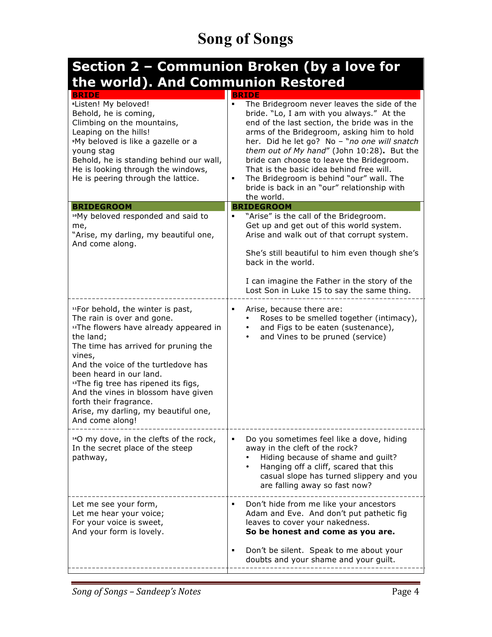#### **Section 2 – Communion Broken (by a love for the world). And Communion Restored**

| <b>BRIDE</b>                                                                                                                                                                                                                                                                                                                                                                                                                          | <b>BRIDE</b>                                                                                                                                                                                                                                                                                                                                                                                                                                                                                                   |
|---------------------------------------------------------------------------------------------------------------------------------------------------------------------------------------------------------------------------------------------------------------------------------------------------------------------------------------------------------------------------------------------------------------------------------------|----------------------------------------------------------------------------------------------------------------------------------------------------------------------------------------------------------------------------------------------------------------------------------------------------------------------------------------------------------------------------------------------------------------------------------------------------------------------------------------------------------------|
| *Listen! My beloved!<br>Behold, he is coming,<br>Climbing on the mountains,<br>Leaping on the hills!<br><sup>9</sup> My beloved is like a gazelle or a<br>young stag<br>Behold, he is standing behind our wall,<br>He is looking through the windows,<br>He is peering through the lattice.                                                                                                                                           | $\blacksquare$<br>The Bridegroom never leaves the side of the<br>bride. "Lo, I am with you always." At the<br>end of the last section, the bride was in the<br>arms of the Bridegroom, asking him to hold<br>her. Did he let go? No - "no one will snatch<br>them out of My hand" (John 10:28). But the<br>bride can choose to leave the Bridegroom.<br>That is the basic idea behind free will.<br>The Bridegroom is behind "our" wall. The<br>٠<br>bride is back in an "our" relationship with<br>the world. |
| <b>BRIDEGROOM</b>                                                                                                                                                                                                                                                                                                                                                                                                                     | <b>BRIDEGROOM</b>                                                                                                                                                                                                                                                                                                                                                                                                                                                                                              |
| "My beloved responded and said to<br>me,<br>"Arise, my darling, my beautiful one,<br>And come along.                                                                                                                                                                                                                                                                                                                                  | "Arise" is the call of the Bridegroom.<br>Get up and get out of this world system.<br>Arise and walk out of that corrupt system.<br>She's still beautiful to him even though she's<br>back in the world.<br>I can imagine the Father in the story of the<br>Lost Son in Luke 15 to say the same thing.                                                                                                                                                                                                         |
| "For behold, the winter is past,<br>The rain is over and gone.<br><sup>12</sup> The flowers have already appeared in<br>the land;<br>The time has arrived for pruning the<br>vines,<br>And the voice of the turtledove has<br>been heard in our land.<br><sup>13</sup> The fig tree has ripened its figs,<br>And the vines in blossom have given<br>forth their fragrance.<br>Arise, my darling, my beautiful one,<br>And come along! | Arise, because there are:<br>٠<br>Roses to be smelled together (intimacy),<br>and Figs to be eaten (sustenance),<br>and Vines to be pruned (service)                                                                                                                                                                                                                                                                                                                                                           |
| <sup>14</sup> O my dove, in the clefts of the rock,<br>In the secret place of the steep<br>pathway,                                                                                                                                                                                                                                                                                                                                   | Do you sometimes feel like a dove, hiding<br>away in the cleft of the rock?<br>Hiding because of shame and guilt?<br>Hanging off a cliff, scared that this<br>casual slope has turned slippery and you<br>are falling away so fast now?                                                                                                                                                                                                                                                                        |
| Let me see your form,<br>Let me hear your voice;<br>For your voice is sweet,<br>And your form is lovely.                                                                                                                                                                                                                                                                                                                              | Don't hide from me like your ancestors<br>٠<br>Adam and Eve. And don't put pathetic fig<br>leaves to cover your nakedness.<br>So be honest and come as you are.<br>Don't be silent. Speak to me about your<br>٠<br>doubts and your shame and your guilt.                                                                                                                                                                                                                                                       |
|                                                                                                                                                                                                                                                                                                                                                                                                                                       |                                                                                                                                                                                                                                                                                                                                                                                                                                                                                                                |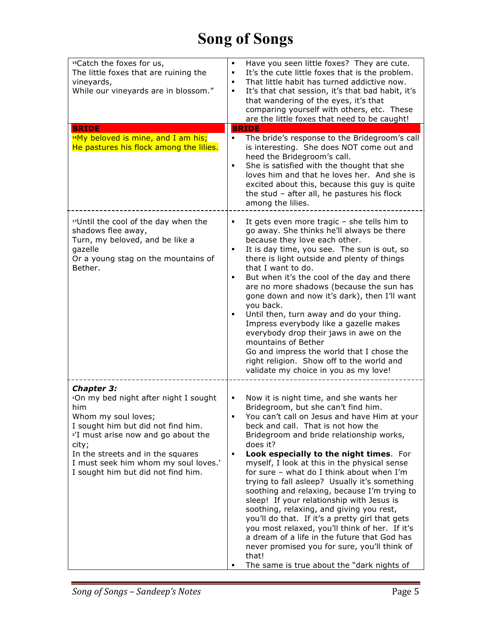| "Catch the foxes for us,<br>The little foxes that are ruining the<br>vineyards,<br>While our vineyards are in blossom."<br><b>BRIDE</b><br><sup>16</sup> My beloved is mine, and I am his;<br>He pastures his flock among the lilies.                                                                                     | Have you seen little foxes? They are cute.<br>٠<br>It's the cute little foxes that is the problem.<br>٠<br>That little habit has turned addictive now.<br>п<br>It's that chat session, it's that bad habit, it's<br>٠<br>that wandering of the eyes, it's that<br>comparing yourself with others, etc. These<br>are the little foxes that need to be caught!<br><b>BRIDE</b><br>The bride's response to the Bridegroom's call<br>٠<br>is interesting. She does NOT come out and<br>heed the Bridegroom's call.<br>She is satisfied with the thought that she<br>٠<br>loves him and that he loves her. And she is<br>excited about this, because this guy is quite<br>the stud - after all, he pastures his flock<br>among the lilies.                                                                                                          |
|---------------------------------------------------------------------------------------------------------------------------------------------------------------------------------------------------------------------------------------------------------------------------------------------------------------------------|------------------------------------------------------------------------------------------------------------------------------------------------------------------------------------------------------------------------------------------------------------------------------------------------------------------------------------------------------------------------------------------------------------------------------------------------------------------------------------------------------------------------------------------------------------------------------------------------------------------------------------------------------------------------------------------------------------------------------------------------------------------------------------------------------------------------------------------------|
| "Until the cool of the day when the<br>shadows flee away,<br>Turn, my beloved, and be like a<br>gazelle<br>Or a young stag on the mountains of<br>Bether.                                                                                                                                                                 | It gets even more tragic - she tells him to<br>п<br>go away. She thinks he'll always be there<br>because they love each other.<br>It is day time, you see. The sun is out, so<br>٠<br>there is light outside and plenty of things<br>that I want to do.<br>But when it's the cool of the day and there<br>٠<br>are no more shadows (because the sun has<br>gone down and now it's dark), then I'll want<br>you back.<br>Until then, turn away and do your thing.<br>٠<br>Impress everybody like a gazelle makes<br>everybody drop their jaws in awe on the<br>mountains of Bether<br>Go and impress the world that I chose the<br>right religion. Show off to the world and<br>validate my choice in you as my love!                                                                                                                           |
| <b>Chapter 3:</b><br><sup>1</sup> On my bed night after night I sought<br>him<br>Whom my soul loves;<br>I sought him but did not find him.<br><sup>2'</sup> I must arise now and go about the<br>city;<br>In the streets and in the squares<br>I must seek him whom my soul loves.'<br>I sought him but did not find him. | Now it is night time, and she wants her<br>٠<br>Bridegroom, but she can't find him.<br>You can't call on Jesus and have Him at your<br>٠<br>beck and call. That is not how the<br>Bridegroom and bride relationship works,<br>does it?<br>Look especially to the night times. For<br>٠<br>myself, I look at this in the physical sense<br>for sure - what do I think about when I'm<br>trying to fall asleep? Usually it's something<br>soothing and relaxing, because I'm trying to<br>sleep! If your relationship with Jesus is<br>soothing, relaxing, and giving you rest,<br>you'll do that. If it's a pretty girl that gets<br>you most relaxed, you'll think of her. If it's<br>a dream of a life in the future that God has<br>never promised you for sure, you'll think of<br>that!<br>The same is true about the "dark nights of<br>п |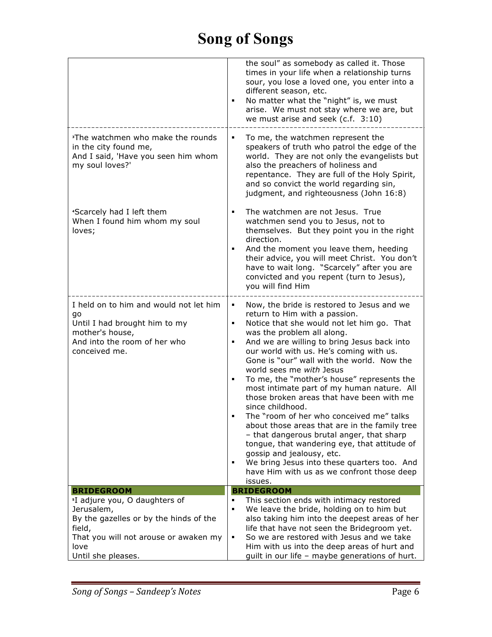|                                                                                                                                                   | the soul" as somebody as called it. Those<br>times in your life when a relationship turns<br>sour, you lose a loved one, you enter into a<br>different season, etc.<br>No matter what the "night" is, we must<br>arise. We must not stay where we are, but<br>we must arise and seek (c.f. 3:10)                                                                                                                                                                                                                                                                                                                                                                                                                                                                                                                                  |
|---------------------------------------------------------------------------------------------------------------------------------------------------|-----------------------------------------------------------------------------------------------------------------------------------------------------------------------------------------------------------------------------------------------------------------------------------------------------------------------------------------------------------------------------------------------------------------------------------------------------------------------------------------------------------------------------------------------------------------------------------------------------------------------------------------------------------------------------------------------------------------------------------------------------------------------------------------------------------------------------------|
| <sup>3</sup> The watchmen who make the rounds<br>in the city found me,<br>And I said, 'Have you seen him whom<br>my soul loves?'                  | To me, the watchmen represent the<br>speakers of truth who patrol the edge of the<br>world. They are not only the evangelists but<br>also the preachers of holiness and<br>repentance. They are full of the Holy Spirit,<br>and so convict the world regarding sin,<br>judgment, and righteousness (John 16:8)                                                                                                                                                                                                                                                                                                                                                                                                                                                                                                                    |
| *Scarcely had I left them<br>When I found him whom my soul<br>loves;                                                                              | The watchmen are not Jesus. True<br>٠<br>watchmen send you to Jesus, not to<br>themselves. But they point you in the right<br>direction.<br>And the moment you leave them, heeding<br>their advice, you will meet Christ. You don't<br>have to wait long. "Scarcely" after you are<br>convicted and you repent (turn to Jesus),<br>you will find Him                                                                                                                                                                                                                                                                                                                                                                                                                                                                              |
| I held on to him and would not let him<br>go<br>Until I had brought him to my<br>mother's house,<br>And into the room of her who<br>conceived me. | Now, the bride is restored to Jesus and we<br>٠<br>return to Him with a passion.<br>Notice that she would not let him go. That<br>٠<br>was the problem all along.<br>And we are willing to bring Jesus back into<br>our world with us. He's coming with us.<br>Gone is "our" wall with the world. Now the<br>world sees me with Jesus<br>To me, the "mother's house" represents the<br>most intimate part of my human nature. All<br>those broken areas that have been with me<br>since childhood.<br>The "room of her who conceived me" talks<br>about those areas that are in the family tree<br>- that dangerous brutal anger, that sharp<br>tongue, that wandering eye, that attitude of<br>gossip and jealousy, etc.<br>We bring Jesus into these quarters too. And<br>have Him with us as we confront those deep<br>issues. |
| <b>BRIDEGROOM</b>                                                                                                                                 | <b>BRIDEGROOM</b>                                                                                                                                                                                                                                                                                                                                                                                                                                                                                                                                                                                                                                                                                                                                                                                                                 |
| <sup>5</sup> I adjure you, O daughters of                                                                                                         | This section ends with intimacy restored                                                                                                                                                                                                                                                                                                                                                                                                                                                                                                                                                                                                                                                                                                                                                                                          |
| Jerusalem,<br>By the gazelles or by the hinds of the                                                                                              | We leave the bride, holding on to him but<br>$\blacksquare$<br>also taking him into the deepest areas of her                                                                                                                                                                                                                                                                                                                                                                                                                                                                                                                                                                                                                                                                                                                      |
| field,                                                                                                                                            | life that have not seen the Bridegroom yet.                                                                                                                                                                                                                                                                                                                                                                                                                                                                                                                                                                                                                                                                                                                                                                                       |
| That you will not arouse or awaken my                                                                                                             | So we are restored with Jesus and we take<br>٠                                                                                                                                                                                                                                                                                                                                                                                                                                                                                                                                                                                                                                                                                                                                                                                    |
| love                                                                                                                                              | Him with us into the deep areas of hurt and                                                                                                                                                                                                                                                                                                                                                                                                                                                                                                                                                                                                                                                                                                                                                                                       |
| Until she pleases.                                                                                                                                | guilt in our life - maybe generations of hurt.                                                                                                                                                                                                                                                                                                                                                                                                                                                                                                                                                                                                                                                                                                                                                                                    |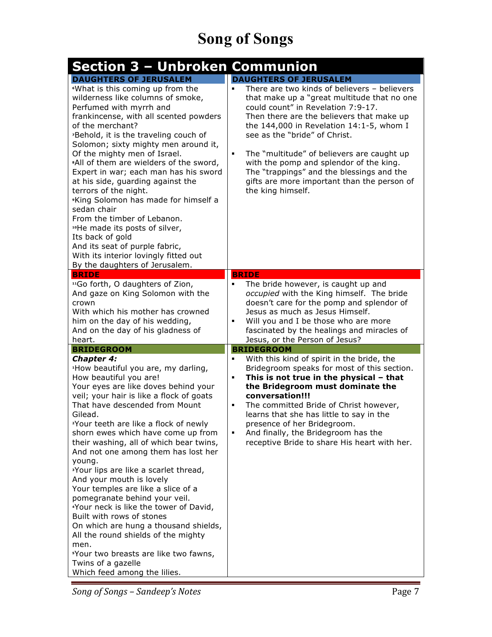| <b>Section 3 - Unbroken Communion</b>                                                                                                                                                                                                                                                                                                                                                                                                                                                                                                                                                                                                                                                                                                                                                                                                        |                                                                                                                                                                                                                                                                                                                                                                                                                                                                                                                  |
|----------------------------------------------------------------------------------------------------------------------------------------------------------------------------------------------------------------------------------------------------------------------------------------------------------------------------------------------------------------------------------------------------------------------------------------------------------------------------------------------------------------------------------------------------------------------------------------------------------------------------------------------------------------------------------------------------------------------------------------------------------------------------------------------------------------------------------------------|------------------------------------------------------------------------------------------------------------------------------------------------------------------------------------------------------------------------------------------------------------------------------------------------------------------------------------------------------------------------------------------------------------------------------------------------------------------------------------------------------------------|
| <b>DAUGHTERS OF JERUSALEM</b><br><sup>6</sup> What is this coming up from the<br>wilderness like columns of smoke,<br>Perfumed with myrrh and<br>frankincense, with all scented powders<br>of the merchant?<br><sup>7</sup> Behold, it is the traveling couch of<br>Solomon; sixty mighty men around it,<br>Of the mighty men of Israel.<br>*All of them are wielders of the sword,<br>Expert in war; each man has his sword<br>at his side, guarding against the<br>terrors of the night.<br><sup>9</sup> King Solomon has made for himself a<br>sedan chair<br>From the timber of Lebanon.<br>"He made its posts of silver,<br>Its back of gold<br>And its seat of purple fabric,<br>With its interior lovingly fitted out<br>By the daughters of Jerusalem.                                                                               | <b>DAUGHTERS OF JERUSALEM</b><br>There are two kinds of believers - believers<br>that make up a "great multitude that no one<br>could count" in Revelation 7:9-17.<br>Then there are the believers that make up<br>the $144,000$ in Revelation $14:1-5$ , whom I<br>see as the "bride" of Christ.<br>The "multitude" of believers are caught up<br>٠<br>with the pomp and splendor of the king.<br>The "trappings" and the blessings and the<br>gifts are more important than the person of<br>the king himself. |
| <b>BRIDE</b><br><sup>11</sup> Go forth, O daughters of Zion,<br>And gaze on King Solomon with the<br>crown<br>With which his mother has crowned<br>him on the day of his wedding,<br>And on the day of his gladness of<br>heart.                                                                                                                                                                                                                                                                                                                                                                                                                                                                                                                                                                                                             | <b>BRIDE</b><br>The bride however, is caught up and<br>٠<br>occupied with the King himself. The bride<br>doesn't care for the pomp and splendor of<br>Jesus as much as Jesus Himself.<br>Will you and I be those who are more<br>fascinated by the healings and miracles of<br>Jesus, or the Person of Jesus?                                                                                                                                                                                                    |
| <b>BRIDEGROOM</b>                                                                                                                                                                                                                                                                                                                                                                                                                                                                                                                                                                                                                                                                                                                                                                                                                            | <b>BRIDEGROOM</b>                                                                                                                                                                                                                                                                                                                                                                                                                                                                                                |
| <b>Chapter 4:</b><br><sup>1</sup> How beautiful you are, my darling,<br>How beautiful you are!<br>Your eyes are like doves behind your<br>veil; your hair is like a flock of goats<br>That have descended from Mount<br>Gilead.<br><sup>2</sup> Your teeth are like a flock of newly<br>shorn ewes which have come up from<br>their washing, all of which bear twins,<br>And not one among them has lost her<br>young.<br><sup>3</sup> Your lips are like a scarlet thread,<br>And your mouth is lovely<br>Your temples are like a slice of a<br>pomegranate behind your veil.<br>'Your neck is like the tower of David,<br>Built with rows of stones<br>On which are hung a thousand shields,<br>All the round shields of the mighty<br>men.<br>"Your two breasts are like two fawns,<br>Twins of a gazelle<br>Which feed among the lilies. | With this kind of spirit in the bride, the<br>٠<br>Bridegroom speaks for most of this section.<br>This is not true in the physical - that<br>٠<br>the Bridegroom must dominate the<br>conversation!!!<br>The committed Bride of Christ however,<br>٠<br>learns that she has little to say in the<br>presence of her Bridegroom.<br>And finally, the Bridegroom has the<br>٠<br>receptive Bride to share His heart with her.                                                                                      |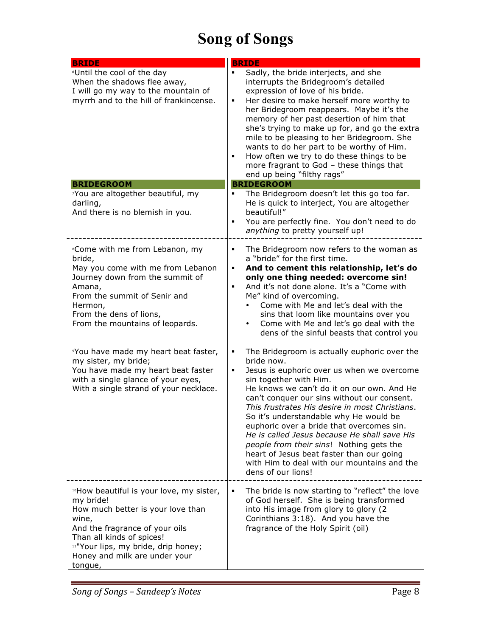| <b>BRIDE</b>                                                                                                                                                                                                                                                      | <b>BRIDE</b>                                                                                                                                                                                                                                                                                                                                                                                                                                                                                                                                                                                |
|-------------------------------------------------------------------------------------------------------------------------------------------------------------------------------------------------------------------------------------------------------------------|---------------------------------------------------------------------------------------------------------------------------------------------------------------------------------------------------------------------------------------------------------------------------------------------------------------------------------------------------------------------------------------------------------------------------------------------------------------------------------------------------------------------------------------------------------------------------------------------|
| <sup>6</sup> Until the cool of the day<br>When the shadows flee away,<br>I will go my way to the mountain of<br>myrrh and to the hill of frankincense.                                                                                                            | Sadly, the bride interjects, and she<br>interrupts the Bridegroom's detailed<br>expression of love of his bride.<br>Her desire to make herself more worthy to<br>her Bridegroom reappears. Maybe it's the<br>memory of her past desertion of him that<br>she's trying to make up for, and go the extra<br>mile to be pleasing to her Bridegroom. She<br>wants to do her part to be worthy of Him.<br>How often we try to do these things to be<br>more fragrant to God - these things that<br>end up being "filthy rags"                                                                    |
| <b>BRIDEGROOM</b>                                                                                                                                                                                                                                                 | <b>BRIDEGROOM</b>                                                                                                                                                                                                                                                                                                                                                                                                                                                                                                                                                                           |
| 'You are altogether beautiful, my<br>darling,<br>And there is no blemish in you.                                                                                                                                                                                  | The Bridegroom doesn't let this go too far.<br>٠<br>He is quick to interject, You are altogether<br>beautiful!"<br>You are perfectly fine. You don't need to do<br>anything to pretty yourself up!                                                                                                                                                                                                                                                                                                                                                                                          |
| <sup>8</sup> Come with me from Lebanon, my<br>bride,<br>May you come with me from Lebanon<br>Journey down from the summit of<br>Amana,<br>From the summit of Senir and<br>Hermon,<br>From the dens of lions,<br>From the mountains of leopards.                   | The Bridegroom now refers to the woman as<br>٠<br>a "bride" for the first time.<br>And to cement this relationship, let's do<br>٠<br>only one thing needed: overcome sin!<br>And it's not done alone. It's a "Come with<br>Me" kind of overcoming.<br>Come with Me and let's deal with the<br>sins that loom like mountains over you<br>Come with Me and let's go deal with the<br>dens of the sinful beasts that control you                                                                                                                                                               |
| <sup>9</sup> You have made my heart beat faster,<br>my sister, my bride;<br>You have made my heart beat faster<br>with a single glance of your eyes,<br>With a single strand of your necklace.                                                                    | The Bridegroom is actually euphoric over the<br>bride now.<br>Jesus is euphoric over us when we overcome<br>٠<br>sin together with Him.<br>He knows we can't do it on our own. And He<br>can't conquer our sins without our consent.<br>This frustrates His desire in most Christians.<br>So it's understandable why He would be<br>euphoric over a bride that overcomes sin.<br>He is called Jesus because He shall save His<br>people from their sins! Nothing gets the<br>heart of Jesus beat faster than our going<br>with Him to deal with our mountains and the<br>dens of our lions! |
| 10How beautiful is your love, my sister,<br>my bride!<br>How much better is your love than<br>wine,<br>And the fragrance of your oils<br>Than all kinds of spices!<br><sup>11"</sup> Your lips, my bride, drip honey;<br>Honey and milk are under your<br>tongue, | The bride is now starting to "reflect" the love<br>٠<br>of God herself. She is being transformed<br>into His image from glory to glory (2<br>Corinthians 3:18). And you have the<br>fragrance of the Holy Spirit (oil)                                                                                                                                                                                                                                                                                                                                                                      |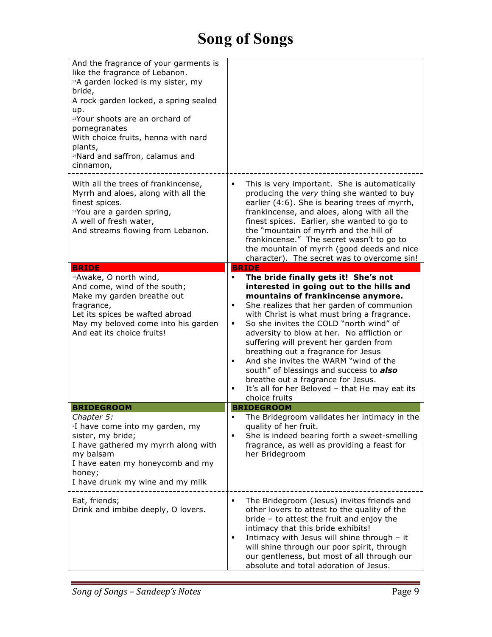| And the fragrance of your garments is<br>like the fragrance of Lebanon.<br>12A garden locked is my sister, my<br>bride,<br>A rock garden locked, a spring sealed<br>up.<br><sup>13</sup> Your shoots are an orchard of<br>pomegranates<br>With choice fruits, henna with nard<br>plants,<br><sup>14</sup> Nard and saffron, calamus and<br>cinnamon, |                                                                                                                                                                                                                                                                                                                                                                                                                                                                                                                                                            |
|------------------------------------------------------------------------------------------------------------------------------------------------------------------------------------------------------------------------------------------------------------------------------------------------------------------------------------------------------|------------------------------------------------------------------------------------------------------------------------------------------------------------------------------------------------------------------------------------------------------------------------------------------------------------------------------------------------------------------------------------------------------------------------------------------------------------------------------------------------------------------------------------------------------------|
| With all the trees of frankincense,<br>Myrrh and aloes, along with all the<br>finest spices.<br><sup>15</sup> You are a garden spring,<br>A well of fresh water,<br>And streams flowing from Lebanon.                                                                                                                                                | This is very important. She is automatically<br>٠<br>producing the very thing she wanted to buy<br>earlier (4:6). She is bearing trees of myrrh,<br>frankincense, and aloes, along with all the<br>finest spices. Earlier, she wanted to go to<br>the "mountain of myrrh and the hill of<br>frankincense." The secret wasn't to go to<br>the mountain of myrrh (good deeds and nice<br>character). The secret was to overcome sin!                                                                                                                         |
| <b>BRIDE</b><br>16 Awake, O north wind,<br>And come, wind of the south;<br>Make my garden breathe out<br>fragrance,<br>Let its spices be wafted abroad<br>May my beloved come into his garden<br>And eat its choice fruits!                                                                                                                          | <b>BRIDE</b><br>The bride finally gets it! She's not<br>٠<br>interested in going out to the hills and<br>mountains of frankincense anymore.<br>She realizes that her garden of communion<br>٠<br>with Christ is what must bring a fragrance.<br>So she invites the COLD "north wind" of<br>٠<br>adversity to blow at her. No affliction or<br>suffering will prevent her garden from<br>breathing out a fragrance for Jesus<br>And she invites the WARM "wind of the<br>٠<br>south" of blessings and success to also<br>breathe out a fragrance for Jesus. |
|                                                                                                                                                                                                                                                                                                                                                      | It's all for her Beloved - that He may eat its<br>٠<br>choice fruits                                                                                                                                                                                                                                                                                                                                                                                                                                                                                       |
| <b>BRIDEGROOM</b>                                                                                                                                                                                                                                                                                                                                    | <b>BRIDEGROOM</b>                                                                                                                                                                                                                                                                                                                                                                                                                                                                                                                                          |
| Chapter 5:<br><sup>1</sup> I have come into my garden, my<br>sister, my bride;<br>I have gathered my myrrh along with<br>my balsam<br>I have eaten my honeycomb and my<br>honey;<br>I have drunk my wine and my milk                                                                                                                                 | The Bridegroom validates her intimacy in the<br>quality of her fruit.<br>She is indeed bearing forth a sweet-smelling<br>٠<br>fragrance, as well as providing a feast for<br>her Bridegroom                                                                                                                                                                                                                                                                                                                                                                |
| Eat, friends;<br>Drink and imbibe deeply, O lovers.                                                                                                                                                                                                                                                                                                  | The Bridegroom (Jesus) invites friends and<br>٠<br>other lovers to attest to the quality of the<br>bride - to attest the fruit and enjoy the<br>intimacy that this bride exhibits!<br>Intimacy with Jesus will shine through - it<br>٠<br>will shine through our poor spirit, through<br>our gentleness, but most of all through our<br>absolute and total adoration of Jesus.                                                                                                                                                                             |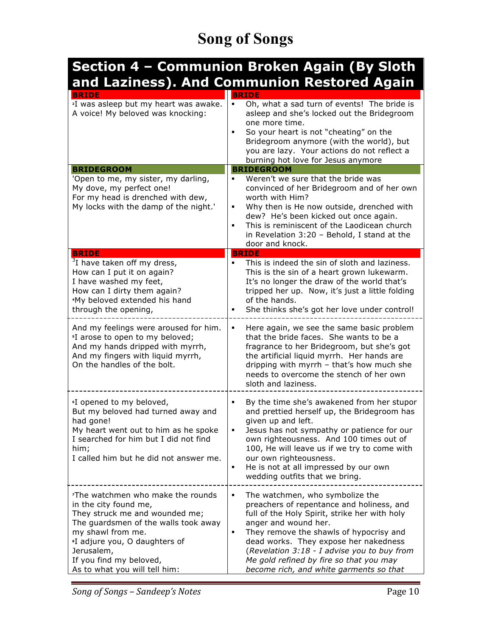#### **Section 4 – Communion Broken Again (By Sloth and Laziness). And Communion Restored Again**

| <b>BRIDE</b>                                                                                                                                                                                                                                                                                 | <b>BRIDE</b>                                                                                                                                                                                                                                                                                                                                                                        |
|----------------------------------------------------------------------------------------------------------------------------------------------------------------------------------------------------------------------------------------------------------------------------------------------|-------------------------------------------------------------------------------------------------------------------------------------------------------------------------------------------------------------------------------------------------------------------------------------------------------------------------------------------------------------------------------------|
| <sup>2</sup> I was asleep but my heart was awake.<br>A voice! My beloved was knocking:                                                                                                                                                                                                       | Oh, what a sad turn of events! The bride is<br>٠<br>asleep and she's locked out the Bridegroom<br>one more time.<br>So your heart is not "cheating" on the<br>Bridegroom anymore (with the world), but<br>you are lazy. Your actions do not reflect a<br>burning hot love for Jesus anymore                                                                                         |
| <b>BRIDEGROOM</b>                                                                                                                                                                                                                                                                            | <b>BRIDEGROOM</b>                                                                                                                                                                                                                                                                                                                                                                   |
| 'Open to me, my sister, my darling,<br>My dove, my perfect one!<br>For my head is drenched with dew,<br>My locks with the damp of the night.'                                                                                                                                                | Weren't we sure that the bride was<br>convinced of her Bridegroom and of her own<br>worth with Him?<br>Why then is He now outside, drenched with<br>٠<br>dew? He's been kicked out once again.<br>This is reminiscent of the Laodicean church<br>$\blacksquare$<br>in Revelation 3:20 - Behold, I stand at the<br>door and knock.                                                   |
| <b>BRIDE</b>                                                                                                                                                                                                                                                                                 | <b>BRIDE</b>                                                                                                                                                                                                                                                                                                                                                                        |
| <sup>3</sup> I have taken off my dress,<br>How can I put it on again?<br>I have washed my feet,<br>How can I dirty them again?<br><sup>4</sup> My beloved extended his hand<br>through the opening,                                                                                          | This is indeed the sin of sloth and laziness.<br>$\blacksquare$<br>This is the sin of a heart grown lukewarm.<br>It's no longer the draw of the world that's<br>tripped her up. Now, it's just a little folding<br>of the hands.<br>She thinks she's got her love under control!                                                                                                    |
| And my feelings were aroused for him.<br><sup>5</sup> I arose to open to my beloved;<br>And my hands dripped with myrrh,<br>And my fingers with liquid myrrh,<br>On the handles of the bolt.                                                                                                 | Here again, we see the same basic problem<br>٠<br>that the bride faces. She wants to be a<br>fragrance to her Bridegroom, but she's got<br>the artificial liquid myrrh. Her hands are<br>dripping with myrrh - that's how much she<br>needs to overcome the stench of her own<br>sloth and laziness.                                                                                |
| <sup>6</sup> I opened to my beloved,<br>But my beloved had turned away and<br>had gone!<br>My heart went out to him as he spoke<br>I searched for him but I did not find<br>him;<br>I called him but he did not answer me.                                                                   | By the time she's awakened from her stupor<br>and prettied herself up, the Bridegroom has<br>given up and left.<br>Jesus has not sympathy or patience for our<br>own righteousness. And 100 times out of<br>100, He will leave us if we try to come with<br>our own righteousness.<br>He is not at all impressed by our own<br>٠<br>wedding outfits that we bring.                  |
| <sup>7</sup> The watchmen who make the rounds<br>in the city found me,<br>They struck me and wounded me;<br>The guardsmen of the walls took away<br>my shawl from me.<br><sup>8</sup> I adjure you, O daughters of<br>Jerusalem,<br>If you find my beloved,<br>As to what you will tell him: | The watchmen, who symbolize the<br>٠<br>preachers of repentance and holiness, and<br>full of the Holy Spirit, strike her with holy<br>anger and wound her.<br>They remove the shawls of hypocrisy and<br>dead works. They expose her nakedness<br>(Revelation 3:18 - I advise you to buy from<br>Me gold refined by fire so that you may<br>become rich, and white garments so that |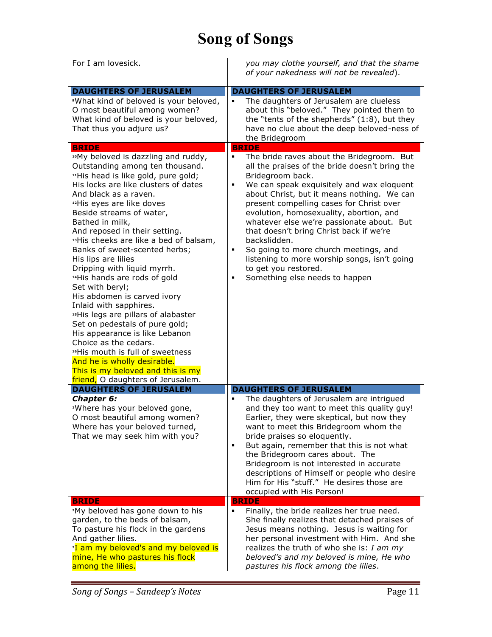| For I am lovesick.                                                                                                                                                                                                                                                                                                                                                                                                                                                                                                                                                                                                                                                                                                                                                                                                                                                                                                                                                                                         | you may clothe yourself, and that the shame<br>of your nakedness will not be revealed).                                                                                                                                                                                                                                                                                                                                                                                                                                                                                                                                                                                                                                                                                                                                                     |
|------------------------------------------------------------------------------------------------------------------------------------------------------------------------------------------------------------------------------------------------------------------------------------------------------------------------------------------------------------------------------------------------------------------------------------------------------------------------------------------------------------------------------------------------------------------------------------------------------------------------------------------------------------------------------------------------------------------------------------------------------------------------------------------------------------------------------------------------------------------------------------------------------------------------------------------------------------------------------------------------------------|---------------------------------------------------------------------------------------------------------------------------------------------------------------------------------------------------------------------------------------------------------------------------------------------------------------------------------------------------------------------------------------------------------------------------------------------------------------------------------------------------------------------------------------------------------------------------------------------------------------------------------------------------------------------------------------------------------------------------------------------------------------------------------------------------------------------------------------------|
| <b>DAUGHTERS OF JERUSALEM</b><br>*What kind of beloved is your beloved,<br>O most beautiful among women?<br>What kind of beloved is your beloved,<br>That thus you adjure us?<br><b>BRIDE</b><br>"My beloved is dazzling and ruddy,<br>Outstanding among ten thousand.<br>"His head is like gold, pure gold;<br>His locks are like clusters of dates<br>And black as a raven.<br><sup>12</sup> His eyes are like doves<br>Beside streams of water,<br>Bathed in milk,<br>And reposed in their setting.<br><sup>13</sup> His cheeks are like a bed of balsam,<br>Banks of sweet-scented herbs;<br>His lips are lilies<br>Dripping with liquid myrrh.<br><sup>14</sup> His hands are rods of gold<br>Set with beryl;<br>His abdomen is carved ivory<br>Inlaid with sapphires.<br><sup>15</sup> His legs are pillars of alabaster<br>Set on pedestals of pure gold;<br>His appearance is like Lebanon<br>Choice as the cedars.<br><sup>16</sup> His mouth is full of sweetness<br>And he is wholly desirable. | <b>DAUGHTERS OF JERUSALEM</b><br>The daughters of Jerusalem are clueless<br>about this "beloved." They pointed them to<br>the "tents of the shepherds" (1:8), but they<br>have no clue about the deep beloved-ness of<br>the Bridegroom<br><b>BRIDE</b><br>The bride raves about the Bridegroom. But<br>٠<br>all the praises of the bride doesn't bring the<br>Bridegroom back.<br>We can speak exquisitely and wax eloquent<br>٠<br>about Christ, but it means nothing. We can<br>present compelling cases for Christ over<br>evolution, homosexuality, abortion, and<br>whatever else we're passionate about. But<br>that doesn't bring Christ back if we're<br>backslidden.<br>So going to more church meetings, and<br>٠<br>listening to more worship songs, isn't going<br>to get you restored.<br>Something else needs to happen<br>٠ |
| This is my beloved and this is my<br>friend, O daughters of Jerusalem.                                                                                                                                                                                                                                                                                                                                                                                                                                                                                                                                                                                                                                                                                                                                                                                                                                                                                                                                     |                                                                                                                                                                                                                                                                                                                                                                                                                                                                                                                                                                                                                                                                                                                                                                                                                                             |
| <b>DAUGHTERS OF JERUSALEM</b><br>Chapter 6:<br><sup>1</sup> Where has your beloved gone,<br>O most beautiful among women?<br>Where has your beloved turned,<br>That we may seek him with you?                                                                                                                                                                                                                                                                                                                                                                                                                                                                                                                                                                                                                                                                                                                                                                                                              | <b>DAUGHTERS OF JERUSALEM</b><br>The daughters of Jerusalem are intrigued<br>and they too want to meet this quality guy!<br>Earlier, they were skeptical, but now they<br>want to meet this Bridegroom whom the<br>bride praises so eloquently.<br>But again, remember that this is not what<br>٠<br>the Bridegroom cares about. The<br>Bridegroom is not interested in accurate<br>descriptions of Himself or people who desire<br>Him for His "stuff." He desires those are<br>occupied with His Person!                                                                                                                                                                                                                                                                                                                                  |
| <b>BRIDE</b><br><sup>2</sup> My beloved has gone down to his<br>garden, to the beds of balsam,<br>To pasture his flock in the gardens<br>And gather lilies.<br><sup>3</sup> I am my beloved's and my beloved is<br>mine, He who pastures his flock<br>among the lilies.                                                                                                                                                                                                                                                                                                                                                                                                                                                                                                                                                                                                                                                                                                                                    | <b>BRIDE</b><br>Finally, the bride realizes her true need.<br>She finally realizes that detached praises of<br>Jesus means nothing. Jesus is waiting for<br>her personal investment with Him. And she<br>realizes the truth of who she is: $I$ am my<br>beloved's and my beloved is mine, He who<br>pastures his flock among the lilies.                                                                                                                                                                                                                                                                                                                                                                                                                                                                                                    |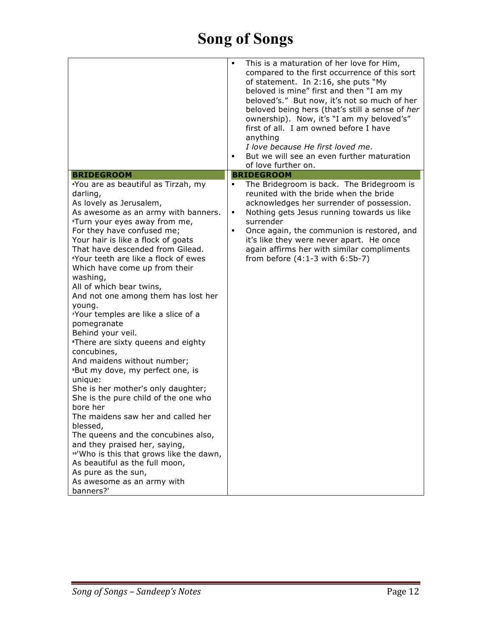|                                                                                                                                                                                                                                                                                                                                                                                                                                                                                                                                                                                                                                                                                                                                                                                                                                                                                                                                                                          | This is a maturation of her love for Him,<br>٠<br>compared to the first occurrence of this sort<br>of statement. In 2:16, she puts "My<br>beloved is mine" first and then "I am my<br>beloved's." But now, it's not so much of her<br>beloved being hers (that's still a sense of her<br>ownership). Now, it's "I am my beloved's"<br>first of all. I am owned before I have<br>anything<br>I love because He first loved me.<br>But we will see an even further maturation<br>$\blacksquare$<br>of love further on. |
|--------------------------------------------------------------------------------------------------------------------------------------------------------------------------------------------------------------------------------------------------------------------------------------------------------------------------------------------------------------------------------------------------------------------------------------------------------------------------------------------------------------------------------------------------------------------------------------------------------------------------------------------------------------------------------------------------------------------------------------------------------------------------------------------------------------------------------------------------------------------------------------------------------------------------------------------------------------------------|----------------------------------------------------------------------------------------------------------------------------------------------------------------------------------------------------------------------------------------------------------------------------------------------------------------------------------------------------------------------------------------------------------------------------------------------------------------------------------------------------------------------|
| <b>BRIDEGROOM</b>                                                                                                                                                                                                                                                                                                                                                                                                                                                                                                                                                                                                                                                                                                                                                                                                                                                                                                                                                        | <b>BRIDEGROOM</b>                                                                                                                                                                                                                                                                                                                                                                                                                                                                                                    |
| <i>A</i> You are as beautiful as Tirzah, my<br>darling,<br>As lovely as Jerusalem,<br>As awesome as an army with banners.<br>*Turn your eyes away from me,<br>For they have confused me;<br>Your hair is like a flock of goats<br>That have descended from Gilead.<br><i>i</i> Your teeth are like a flock of ewes<br>Which have come up from their<br>washing,<br>All of which bear twins,<br>And not one among them has lost her<br>young.<br>'Your temples are like a slice of a<br>pomegranate<br>Behind your veil.<br>*There are sixty queens and eighty<br>concubines,<br>And maidens without number;<br><sup>9</sup> But my dove, my perfect one, is<br>unique:<br>She is her mother's only daughter;<br>She is the pure child of the one who<br>bore her<br>The maidens saw her and called her<br>blessed,<br>The queens and the concubines also,<br>and they praised her, saying,<br>10'Who is this that grows like the dawn,<br>As beautiful as the full moon, | The Bridegroom is back. The Bridegroom is<br>٠<br>reunited with the bride when the bride<br>acknowledges her surrender of possession.<br>Nothing gets Jesus running towards us like<br>٠<br>surrender<br>Once again, the communion is restored, and<br>$\blacksquare$<br>it's like they were never apart. He once<br>again affirms her with similar compliments<br>from before $(4:1-3$ with $6:5b-7)$                                                                                                               |
|                                                                                                                                                                                                                                                                                                                                                                                                                                                                                                                                                                                                                                                                                                                                                                                                                                                                                                                                                                          |                                                                                                                                                                                                                                                                                                                                                                                                                                                                                                                      |
| As pure as the sun,                                                                                                                                                                                                                                                                                                                                                                                                                                                                                                                                                                                                                                                                                                                                                                                                                                                                                                                                                      |                                                                                                                                                                                                                                                                                                                                                                                                                                                                                                                      |
| As awesome as an army with<br>banners?'                                                                                                                                                                                                                                                                                                                                                                                                                                                                                                                                                                                                                                                                                                                                                                                                                                                                                                                                  |                                                                                                                                                                                                                                                                                                                                                                                                                                                                                                                      |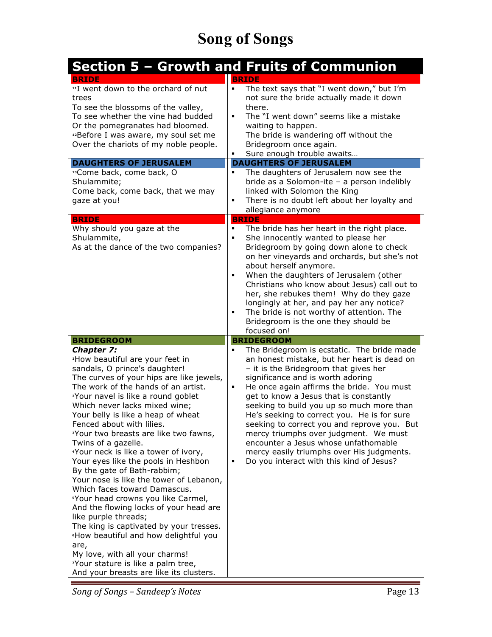|                                                                                                                                                                                                                                                                                                                                                                                                                                                                                                                                                                                                                                                                                                                                                                                                                                                                                                                                                    | Section 5 - Growth and Fruits of Communion                                                                                                                                                                                                                                                                                                                                                                                                                                                                                                                                                                      |
|----------------------------------------------------------------------------------------------------------------------------------------------------------------------------------------------------------------------------------------------------------------------------------------------------------------------------------------------------------------------------------------------------------------------------------------------------------------------------------------------------------------------------------------------------------------------------------------------------------------------------------------------------------------------------------------------------------------------------------------------------------------------------------------------------------------------------------------------------------------------------------------------------------------------------------------------------|-----------------------------------------------------------------------------------------------------------------------------------------------------------------------------------------------------------------------------------------------------------------------------------------------------------------------------------------------------------------------------------------------------------------------------------------------------------------------------------------------------------------------------------------------------------------------------------------------------------------|
| <b>BRIDE</b><br><sup>11</sup> I went down to the orchard of nut<br>trees<br>To see the blossoms of the valley,<br>To see whether the vine had budded<br>Or the pomegranates had bloomed.<br>12Before I was aware, my soul set me<br>Over the chariots of my noble people.                                                                                                                                                                                                                                                                                                                                                                                                                                                                                                                                                                                                                                                                          | <b>BRIDE</b><br>The text says that "I went down," but I'm<br>٠<br>not sure the bride actually made it down<br>there.<br>The "I went down" seems like a mistake<br>waiting to happen.<br>The bride is wandering off without the<br>Bridegroom once again.<br>Sure enough trouble awaits                                                                                                                                                                                                                                                                                                                          |
| <b>DAUGHTERS OF JERUSALEM</b>                                                                                                                                                                                                                                                                                                                                                                                                                                                                                                                                                                                                                                                                                                                                                                                                                                                                                                                      | <b>DAUGHTERS OF JERUSALEM</b>                                                                                                                                                                                                                                                                                                                                                                                                                                                                                                                                                                                   |
| <sup>13</sup> Come back, come back, O<br>Shulammite;<br>Come back, come back, that we may<br>gaze at you!<br><b>BRIDE</b>                                                                                                                                                                                                                                                                                                                                                                                                                                                                                                                                                                                                                                                                                                                                                                                                                          | The daughters of Jerusalem now see the<br>$\blacksquare$<br>bride as a Solomon-ite - a person indelibly<br>linked with Solomon the King<br>There is no doubt left about her loyalty and<br>٠<br>allegiance anymore<br><b>BRIDE</b>                                                                                                                                                                                                                                                                                                                                                                              |
| Why should you gaze at the<br>Shulammite,<br>As at the dance of the two companies?                                                                                                                                                                                                                                                                                                                                                                                                                                                                                                                                                                                                                                                                                                                                                                                                                                                                 | The bride has her heart in the right place.<br>٠<br>She innocently wanted to please her<br>٠<br>Bridegroom by going down alone to check<br>on her vineyards and orchards, but she's not<br>about herself anymore.<br>When the daughters of Jerusalem (other<br>Christians who know about Jesus) call out to<br>her, she rebukes them! Why do they gaze<br>longingly at her, and pay her any notice?<br>The bride is not worthy of attention. The<br>٠<br>Bridegroom is the one they should be<br>focused on!                                                                                                    |
| <b>BRIDEGROOM</b>                                                                                                                                                                                                                                                                                                                                                                                                                                                                                                                                                                                                                                                                                                                                                                                                                                                                                                                                  | <b>BRIDEGROOM</b>                                                                                                                                                                                                                                                                                                                                                                                                                                                                                                                                                                                               |
| <b>Chapter 7:</b><br><sup>1</sup> How beautiful are your feet in<br>sandals, O prince's daughter!<br>The curves of your hips are like jewels,<br>The work of the hands of an artist.<br><sup>2</sup> Your navel is like a round goblet<br>Which never lacks mixed wine;<br>Your belly is like a heap of wheat<br>Fenced about with lilies.<br><sup>3</sup> Your two breasts are like two fawns,<br>Twins of a gazelle.<br>'Your neck is like a tower of ivory,<br>Your eyes like the pools in Heshbon<br>By the gate of Bath-rabbim;<br>Your nose is like the tower of Lebanon,<br>Which faces toward Damascus.<br>"Your head crowns you like Carmel,<br>And the flowing locks of your head are<br>like purple threads;<br>The king is captivated by your tresses.<br><sup>6</sup> How beautiful and how delightful you<br>are,<br>My love, with all your charms!<br>'Your stature is like a palm tree,<br>And your breasts are like its clusters. | The Bridegroom is ecstatic. The bride made<br>$\blacksquare$<br>an honest mistake, but her heart is dead on<br>- it is the Bridegroom that gives her<br>significance and is worth adoring<br>He once again affirms the bride. You must<br>٠<br>get to know a Jesus that is constantly<br>seeking to build you up so much more than<br>He's seeking to correct you. He is for sure<br>seeking to correct you and reprove you. But<br>mercy triumphs over judgment. We must<br>encounter a Jesus whose unfathomable<br>mercy easily triumphs over His judgments.<br>Do you interact with this kind of Jesus?<br>٠ |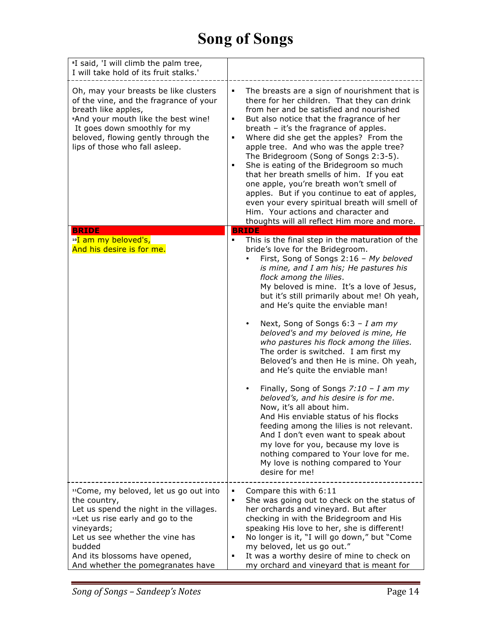| <sup>*</sup> I said, 'I will climb the palm tree,<br>I will take hold of its fruit stalks.'                                                                                                                                                                           |                                                                                                                                                                                                                                                                                                                                                                                                                                                                                                                                                                                                                                                                                                          |
|-----------------------------------------------------------------------------------------------------------------------------------------------------------------------------------------------------------------------------------------------------------------------|----------------------------------------------------------------------------------------------------------------------------------------------------------------------------------------------------------------------------------------------------------------------------------------------------------------------------------------------------------------------------------------------------------------------------------------------------------------------------------------------------------------------------------------------------------------------------------------------------------------------------------------------------------------------------------------------------------|
| Oh, may your breasts be like clusters<br>of the vine, and the fragrance of your<br>breath like apples,<br>*And your mouth like the best wine!<br>It goes down smoothly for my<br>beloved, flowing gently through the<br>lips of those who fall asleep.                | The breasts are a sign of nourishment that is<br>there for her children. That they can drink<br>from her and be satisfied and nourished<br>But also notice that the fragrance of her<br>٠<br>breath - it's the fragrance of apples.<br>Where did she get the apples? From the<br>٠<br>apple tree. And who was the apple tree?<br>The Bridegroom (Song of Songs 2:3-5).<br>She is eating of the Bridegroom so much<br>٠<br>that her breath smells of him. If you eat<br>one apple, you're breath won't smell of<br>apples. But if you continue to eat of apples,<br>even your every spiritual breath will smell of<br>Him. Your actions and character and<br>thoughts will all reflect Him more and more. |
| <b>BRIDE</b>                                                                                                                                                                                                                                                          | <b>BRIDE</b>                                                                                                                                                                                                                                                                                                                                                                                                                                                                                                                                                                                                                                                                                             |
| <sup>10</sup> I am my beloved's,<br>And his desire is for me.                                                                                                                                                                                                         | This is the final step in the maturation of the<br>bride's love for the Bridegroom.<br>First, Song of Songs 2:16 - My beloved<br>is mine, and I am his; He pastures his<br>flock among the lilies.<br>My beloved is mine. It's a love of Jesus,<br>but it's still primarily about me! Oh yeah,<br>and He's quite the enviable man!                                                                                                                                                                                                                                                                                                                                                                       |
|                                                                                                                                                                                                                                                                       | Next, Song of Songs $6:3 - I$ am my<br>beloved's and my beloved is mine, He<br>who pastures his flock among the lilies.<br>The order is switched. I am first my<br>Beloved's and then He is mine. Oh yeah,<br>and He's quite the enviable man!                                                                                                                                                                                                                                                                                                                                                                                                                                                           |
|                                                                                                                                                                                                                                                                       | Finally, Song of Songs $7:10 - I$ am my<br>beloved's, and his desire is for me.<br>Now, it's all about him.<br>And His enviable status of his flocks<br>feeding among the lilies is not relevant.<br>And I don't even want to speak about<br>my love for you, because my love is<br>nothing compared to Your love for me.<br>My love is nothing compared to Your<br>desire for me!                                                                                                                                                                                                                                                                                                                       |
| "Come, my beloved, let us go out into<br>the country,<br>Let us spend the night in the villages.<br>"Let us rise early and go to the<br>vineyards;<br>Let us see whether the vine has<br>budded<br>And its blossoms have opened,<br>And whether the pomegranates have | Compare this with 6:11<br>She was going out to check on the status of<br>٠<br>her orchards and vineyard. But after<br>checking in with the Bridegroom and His<br>speaking His love to her, she is different!<br>No longer is it, "I will go down," but "Come<br>٠<br>my beloved, let us go out."<br>It was a worthy desire of mine to check on<br>٠<br>my orchard and vineyard that is meant for                                                                                                                                                                                                                                                                                                         |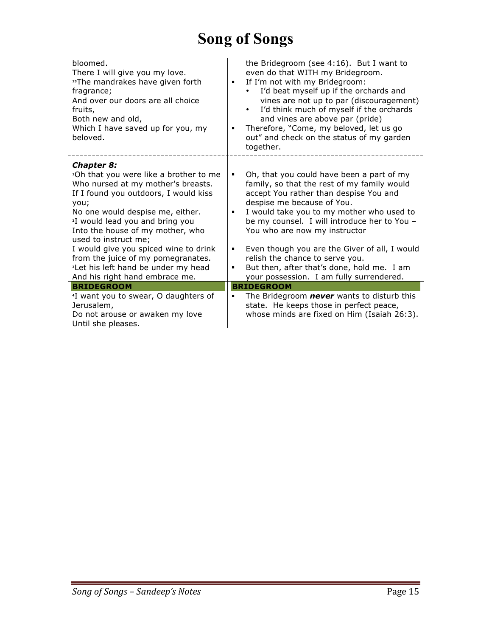| bloomed.<br>There I will give you my love.<br>"The mandrakes have given forth<br>fragrance;<br>And over our doors are all choice<br>fruits,<br>Both new and old,<br>Which I have saved up for you, my<br>beloved.                                                                                             | the Bridegroom (see 4:16). But I want to<br>even do that WITH my Bridegroom.<br>If I'm not with my Bridegroom:<br>٠<br>I'd beat myself up if the orchards and<br>vines are not up to par (discouragement)<br>I'd think much of myself if the orchards<br>$\bullet$<br>and vines are above par (pride)<br>Therefore, "Come, my beloved, let us go<br>٠<br>out" and check on the status of my garden<br>together. |
|---------------------------------------------------------------------------------------------------------------------------------------------------------------------------------------------------------------------------------------------------------------------------------------------------------------|-----------------------------------------------------------------------------------------------------------------------------------------------------------------------------------------------------------------------------------------------------------------------------------------------------------------------------------------------------------------------------------------------------------------|
| <b>Chapter 8:</b><br><sup>1</sup> Oh that you were like a brother to me<br>Who nursed at my mother's breasts.<br>If I found you outdoors, I would kiss<br>you;<br>No one would despise me, either.<br><sup>2</sup> I would lead you and bring you<br>Into the house of my mother, who<br>used to instruct me; | Oh, that you could have been a part of my<br>٠<br>family, so that the rest of my family would<br>accept You rather than despise You and<br>despise me because of You.<br>I would take you to my mother who used to<br>be my counsel. I will introduce her to You -<br>You who are now my instructor                                                                                                             |
| I would give you spiced wine to drink<br>from the juice of my pomegranates.<br><sup>3</sup> Let his left hand be under my head<br>And his right hand embrace me.                                                                                                                                              | Even though you are the Giver of all, I would<br>٠<br>relish the chance to serve you.<br>But then, after that's done, hold me. I am<br>٠<br>your possession. I am fully surrendered.                                                                                                                                                                                                                            |
| <b>BRIDEGROOM</b>                                                                                                                                                                                                                                                                                             | <b>BRIDEGROOM</b>                                                                                                                                                                                                                                                                                                                                                                                               |
| <sup>4</sup> I want you to swear, O daughters of<br>Jerusalem,<br>Do not arouse or awaken my love<br>Until she pleases.                                                                                                                                                                                       | The Bridegroom <b>never</b> wants to disturb this<br>state. He keeps those in perfect peace,<br>whose minds are fixed on Him (Isaiah 26:3).                                                                                                                                                                                                                                                                     |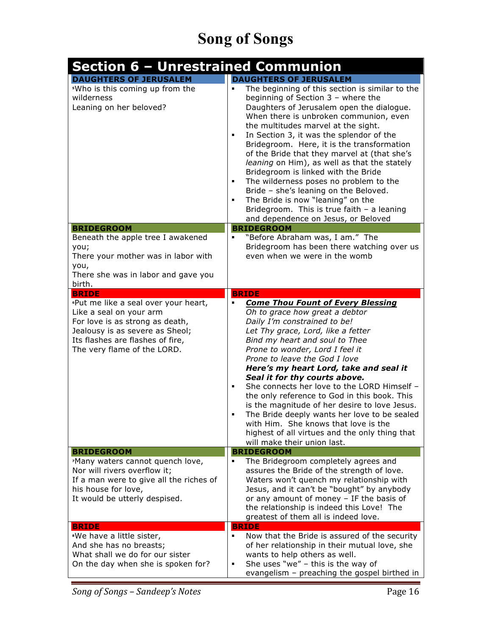| Section 6 – Unrestrained Communion                                                                                                                                                                              |                                                                                                                                                                                                                                                                                                                                                                                                                                                                                                                                                                                                                                                                           |
|-----------------------------------------------------------------------------------------------------------------------------------------------------------------------------------------------------------------|---------------------------------------------------------------------------------------------------------------------------------------------------------------------------------------------------------------------------------------------------------------------------------------------------------------------------------------------------------------------------------------------------------------------------------------------------------------------------------------------------------------------------------------------------------------------------------------------------------------------------------------------------------------------------|
| <b>DAUGHTERS OF JERUSALEM</b><br><sup>5</sup> Who is this coming up from the<br>wilderness<br>Leaning on her beloved?                                                                                           | <b>DAUGHTERS OF JERUSALEM</b><br>The beginning of this section is similar to the<br>beginning of Section 3 - where the<br>Daughters of Jerusalem open the dialogue.<br>When there is unbroken communion, even<br>the multitudes marvel at the sight.<br>In Section 3, it was the splendor of the<br>٠<br>Bridegroom. Here, it is the transformation<br>of the Bride that they marvel at (that she's<br>leaning on Him), as well as that the stately<br>Bridegroom is linked with the Bride<br>The wilderness poses no problem to the<br>٠<br>Bride - she's leaning on the Beloved.<br>The Bride is now "leaning" on the<br>Bridegroom. This is true faith - a leaning     |
|                                                                                                                                                                                                                 | and dependence on Jesus, or Beloved                                                                                                                                                                                                                                                                                                                                                                                                                                                                                                                                                                                                                                       |
| <b>BRIDEGROOM</b><br>Beneath the apple tree I awakened<br>you;<br>There your mother was in labor with<br>you,<br>There she was in labor and gave you<br>birth.                                                  | <b>BRIDEGROOM</b><br>"Before Abraham was, I am." The<br>Bridegroom has been there watching over us<br>even when we were in the womb                                                                                                                                                                                                                                                                                                                                                                                                                                                                                                                                       |
| <b>BRIDE</b>                                                                                                                                                                                                    | <b>BRIDE</b>                                                                                                                                                                                                                                                                                                                                                                                                                                                                                                                                                                                                                                                              |
| <i>'Put</i> me like a seal over your heart,<br>Like a seal on your arm<br>For love is as strong as death,<br>Jealousy is as severe as Sheol;<br>Its flashes are flashes of fire,<br>The very flame of the LORD. | <b>Come Thou Fount of Every Blessing</b><br>٠<br>Oh to grace how great a debtor<br>Daily I'm constrained to be!<br>Let Thy grace, Lord, like a fetter<br>Bind my heart and soul to Thee<br>Prone to wonder, Lord I feel it<br>Prone to leave the God I love<br>Here's my heart Lord, take and seal it<br>Seal it for thy courts above.<br>She connects her love to the LORD Himself -<br>٠<br>the only reference to God in this book. This<br>is the magnitude of her desire to love Jesus.<br>The Bride deeply wants her love to be sealed<br>٠<br>with Him. She knows that love is the<br>highest of all virtues and the only thing that<br>will make their union last. |
| <b>BRIDEGROOM</b>                                                                                                                                                                                               | <b>BRIDEGROOM</b>                                                                                                                                                                                                                                                                                                                                                                                                                                                                                                                                                                                                                                                         |
| 'Many waters cannot quench love,<br>Nor will rivers overflow it;<br>If a man were to give all the riches of<br>his house for love,<br>It would be utterly despised.<br><b>BRIDE</b>                             | The Bridegroom completely agrees and<br>٠<br>assures the Bride of the strength of love.<br>Waters won't quench my relationship with<br>Jesus, and it can't be "bought" by anybody<br>or any amount of money - IF the basis of<br>the relationship is indeed this Love! The<br>greatest of them all is indeed love.<br><b>BRIDE</b>                                                                                                                                                                                                                                                                                                                                        |
| *We have a little sister,<br>And she has no breasts;<br>What shall we do for our sister<br>On the day when she is spoken for?                                                                                   | Now that the Bride is assured of the security<br>٠<br>of her relationship in their mutual love, she<br>wants to help others as well.<br>She uses "we" $-$ this is the way of<br>٠<br>evangelism - preaching the gospel birthed in                                                                                                                                                                                                                                                                                                                                                                                                                                         |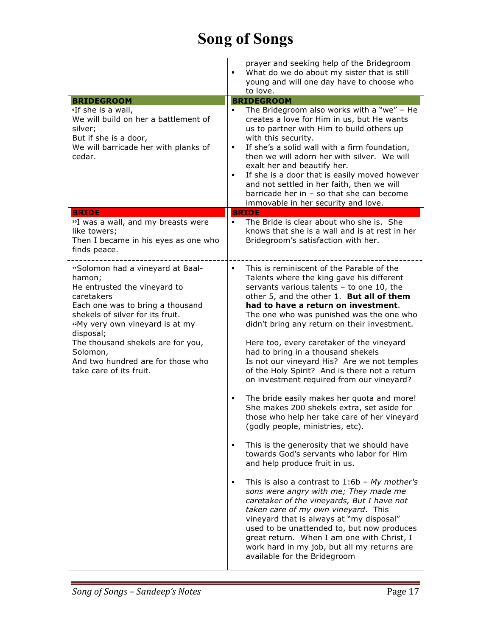|                                                                                                                                                                                                                                                                                                                                               | prayer and seeking help of the Bridegroom<br>What do we do about my sister that is still<br>young and will one day have to choose who<br>to love.                                                                                                                                                                                                                                                                                                                                                                                                                                                                                                                                                                                                                                                                                                                                                                                                                                                                                                                                                                                                                                                                                                                                |
|-----------------------------------------------------------------------------------------------------------------------------------------------------------------------------------------------------------------------------------------------------------------------------------------------------------------------------------------------|----------------------------------------------------------------------------------------------------------------------------------------------------------------------------------------------------------------------------------------------------------------------------------------------------------------------------------------------------------------------------------------------------------------------------------------------------------------------------------------------------------------------------------------------------------------------------------------------------------------------------------------------------------------------------------------------------------------------------------------------------------------------------------------------------------------------------------------------------------------------------------------------------------------------------------------------------------------------------------------------------------------------------------------------------------------------------------------------------------------------------------------------------------------------------------------------------------------------------------------------------------------------------------|
| <b>BRIDEGROOM</b>                                                                                                                                                                                                                                                                                                                             | <b>BRIDEGROOM</b>                                                                                                                                                                                                                                                                                                                                                                                                                                                                                                                                                                                                                                                                                                                                                                                                                                                                                                                                                                                                                                                                                                                                                                                                                                                                |
| If she is a wall,<br>We will build on her a battlement of<br>silver;<br>But if she is a door,<br>We will barricade her with planks of<br>cedar.                                                                                                                                                                                               | The Bridegroom also works with a "we" - He<br>creates a love for Him in us, but He wants<br>us to partner with Him to build others up<br>with this security.<br>If she's a solid wall with a firm foundation,<br>٠<br>then we will adorn her with silver. We will<br>exalt her and beautify her.<br>If she is a door that is easily moved however<br>and not settled in her faith, then we will<br>barricade her in - so that she can become<br>immovable in her security and love.                                                                                                                                                                                                                                                                                                                                                                                                                                                                                                                                                                                                                                                                                                                                                                                              |
| <b>BRIDE</b><br><sup>10</sup> I was a wall, and my breasts were                                                                                                                                                                                                                                                                               | <b>BRIDE</b><br>The Bride is clear about who she is. She<br>٠                                                                                                                                                                                                                                                                                                                                                                                                                                                                                                                                                                                                                                                                                                                                                                                                                                                                                                                                                                                                                                                                                                                                                                                                                    |
| like towers;<br>Then I became in his eyes as one who<br>finds peace.                                                                                                                                                                                                                                                                          | knows that she is a wall and is at rest in her<br>Bridegroom's satisfaction with her.                                                                                                                                                                                                                                                                                                                                                                                                                                                                                                                                                                                                                                                                                                                                                                                                                                                                                                                                                                                                                                                                                                                                                                                            |
| "Solomon had a vineyard at Baal-<br>hamon;<br>He entrusted the vineyard to<br>caretakers<br>Each one was to bring a thousand<br>shekels of silver for its fruit.<br><sup>12</sup> My very own vineyard is at my<br>disposal;<br>The thousand shekels are for you,<br>Solomon,<br>And two hundred are for those who<br>take care of its fruit. | This is reminiscent of the Parable of the<br>٠<br>Talents where the king gave his different<br>servants various talents - to one 10, the<br>other 5, and the other 1. But all of them<br>had to have a return on investment.<br>The one who was punished was the one who<br>didn't bring any return on their investment.<br>Here too, every caretaker of the vineyard<br>had to bring in a thousand shekels<br>Is not our vineyard His? Are we not temples<br>of the Holy Spirit? And is there not a return<br>on investment required from our vineyard?<br>The bride easily makes her quota and more!<br>She makes 200 shekels extra, set aside for<br>those who help her take care of her vineyard<br>(godly people, ministries, etc).<br>This is the generosity that we should have<br>towards God's servants who labor for Him<br>and help produce fruit in us.<br>This is also a contrast to $1:6b$ - My mother's<br>٠<br>sons were angry with me; They made me<br>caretaker of the vineyards, But I have not<br>taken care of my own vineyard. This<br>vineyard that is always at "my disposal"<br>used to be unattended to, but now produces<br>great return. When I am one with Christ, I<br>work hard in my job, but all my returns are<br>available for the Bridegroom |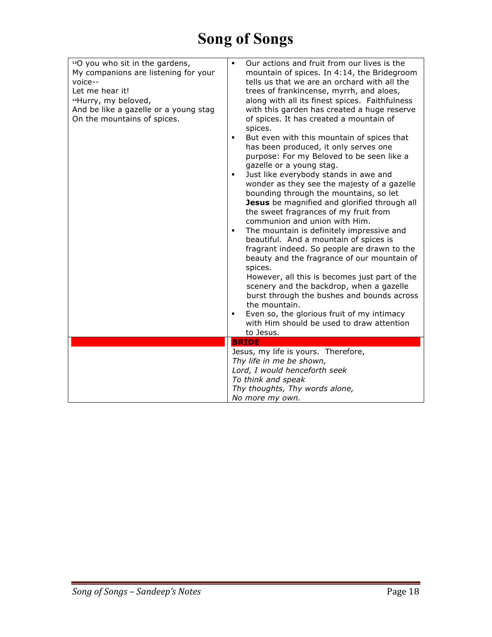| <sup>13</sup> O you who sit in the gardens,<br>My companions are listening for your<br>voice--<br>Let me hear it!<br><sup>14</sup> Hurry, my beloved,<br>And be like a gazelle or a young stag<br>On the mountains of spices. | Our actions and fruit from our lives is the<br>٠<br>mountain of spices. In 4:14, the Bridegroom<br>tells us that we are an orchard with all the<br>trees of frankincense, myrrh, and aloes,<br>along with all its finest spices. Faithfulness<br>with this garden has created a huge reserve<br>of spices. It has created a mountain of<br>spices.<br>But even with this mountain of spices that<br>٠<br>has been produced, it only serves one<br>purpose: For my Beloved to be seen like a<br>gazelle or a young stag.<br>Just like everybody stands in awe and<br>٠<br>wonder as they see the majesty of a gazelle<br>bounding through the mountains, so let<br>Jesus be magnified and glorified through all<br>the sweet fragrances of my fruit from<br>communion and union with Him.<br>The mountain is definitely impressive and<br>٠<br>beautiful. And a mountain of spices is<br>fragrant indeed. So people are drawn to the<br>beauty and the fragrance of our mountain of<br>spices.<br>However, all this is becomes just part of the<br>scenery and the backdrop, when a gazelle<br>burst through the bushes and bounds across<br>the mountain.<br>Even so, the glorious fruit of my intimacy<br>$\blacksquare$<br>with Him should be used to draw attention |
|-------------------------------------------------------------------------------------------------------------------------------------------------------------------------------------------------------------------------------|------------------------------------------------------------------------------------------------------------------------------------------------------------------------------------------------------------------------------------------------------------------------------------------------------------------------------------------------------------------------------------------------------------------------------------------------------------------------------------------------------------------------------------------------------------------------------------------------------------------------------------------------------------------------------------------------------------------------------------------------------------------------------------------------------------------------------------------------------------------------------------------------------------------------------------------------------------------------------------------------------------------------------------------------------------------------------------------------------------------------------------------------------------------------------------------------------------------------------------------------------------------------|
|                                                                                                                                                                                                                               | to Jesus.                                                                                                                                                                                                                                                                                                                                                                                                                                                                                                                                                                                                                                                                                                                                                                                                                                                                                                                                                                                                                                                                                                                                                                                                                                                              |
|                                                                                                                                                                                                                               | <b>BRIDE</b>                                                                                                                                                                                                                                                                                                                                                                                                                                                                                                                                                                                                                                                                                                                                                                                                                                                                                                                                                                                                                                                                                                                                                                                                                                                           |
|                                                                                                                                                                                                                               | Jesus, my life is yours. Therefore,<br>Thy life in me be shown,<br>Lord, I would henceforth seek<br>To think and speak<br>Thy thoughts, Thy words alone,<br>No more my own.                                                                                                                                                                                                                                                                                                                                                                                                                                                                                                                                                                                                                                                                                                                                                                                                                                                                                                                                                                                                                                                                                            |